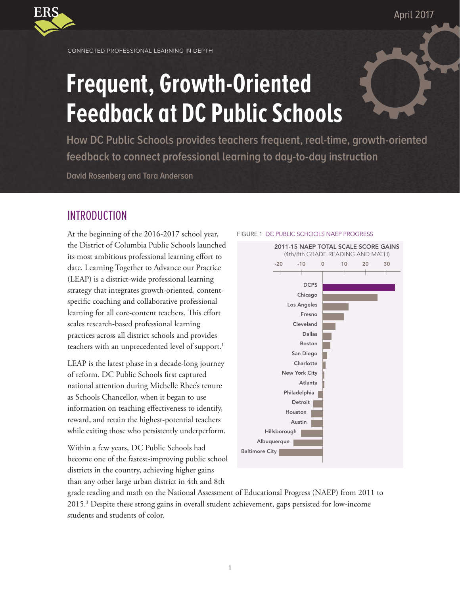April 2017



CONNECTED PROFESSIONAL LEARNING IN DEPTH

# **Frequent, Growth-Oriented Feedback at DC Public Schools**

**How DC Public Schools provides teachers frequent, real-time, growth-oriented feedback to connect professional learning to day-to-day instruction**

**David Rosenberg and Tara Anderson**

# INTRODUCTION

At the beginning of the 2016-2017 school year, the District of Columbia Public Schools launched its most ambitious professional learning effort to date. Learning Together to Advance our Practice (LEAP) is a district-wide professional learning strategy that integrates growth-oriented, contentspecific coaching and collaborative professional learning for all core-content teachers. This effort scales research-based professional learning practices across all district schools and provides teachers with an unprecedented level of support.<sup>1</sup>

LEAP is the latest phase in a decade-long journey of reform. DC Public Schools first captured national attention during Michelle Rhee's tenure as Schools Chancellor, when it began to use information on teaching effectiveness to identify, reward, and retain the highest-potential teachers while exiting those who persistently underperform.

Within a few years, DC Public Schools had become one of the fastest-improving public school districts in the country, achieving higher gains than any other large urban district in 4th and 8th

#### FIGURE 1 DC PUBLIC SCHOOLS NAEP PROGRESS



grade reading and math on the National Assessment of Educational Progress (NAEP) from 2011 to 2015.3 Despite these strong gains in overall student achievement, gaps persisted for low-income students and students of color.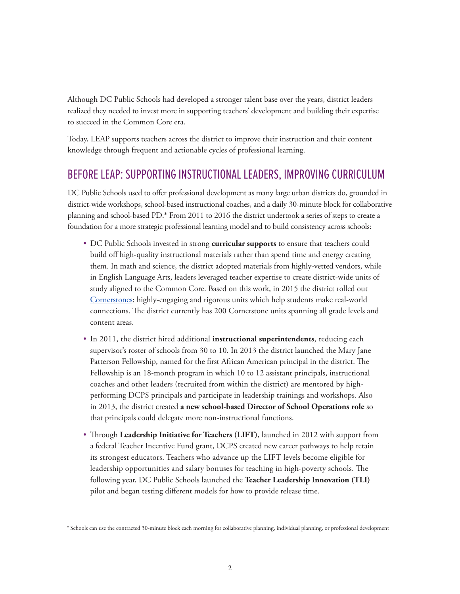Although DC Public Schools had developed a stronger talent base over the years, district leaders realized they needed to invest more in supporting teachers' development and building their expertise to succeed in the Common Core era.

Today, LEAP supports teachers across the district to improve their instruction and their content knowledge through frequent and actionable cycles of professional learning.

# BEFORE LEAP: SUPPORTING INSTRUCTIONAL LEADERS, IMPROVING CURRICULUM

DC Public Schools used to offer professional development as many large urban districts do, grounded in district-wide workshops, school-based instructional coaches, and a daily 30-minute block for collaborative planning and school-based PD.\* From 2011 to 2016 the district undertook a series of steps to create a foundation for a more strategic professional learning model and to build consistency across schools:

- • DC Public Schools invested in strong **curricular supports** to ensure that teachers could build off high-quality instructional materials rather than spend time and energy creating them. In math and science, the district adopted materials from highly-vetted vendors, while in English Language Arts, leaders leveraged teacher expertise to create district-wide units of study aligned to the Common Core. Based on this work, in 2015 the district rolled out [Cornerstones](https://dcps.dc.gov/page/cornerstones): highly-engaging and rigorous units which help students make real-world connections. The district currently has 200 Cornerstone units spanning all grade levels and content areas.
- In 2011, the district hired additional **instructional superintendents**, reducing each supervisor's roster of schools from 30 to 10. In 2013 the district launched the Mary Jane Patterson Fellowship, named for the first African American principal in the district. The Fellowship is an 18-month program in which 10 to 12 assistant principals, instructional coaches and other leaders (recruited from within the district) are mentored by highperforming DCPS principals and participate in leadership trainings and workshops. Also in 2013, the district created **a new school-based Director of School Operations role** so that principals could delegate more non-instructional functions.
- • Through **Leadership Initiative for Teachers (LIFT)**, launched in 2012 with support from a federal Teacher Incentive Fund grant, DCPS created new career pathways to help retain its strongest educators. Teachers who advance up the LIFT levels become eligible for leadership opportunities and salary bonuses for teaching in high-poverty schools. The following year, DC Public Schools launched the **Teacher Leadership Innovation (TLI)** pilot and began testing different models for how to provide release time.

<sup>\*</sup> Schools can use the contracted 30-minute block each morning for collaborative planning, individual planning, or professional development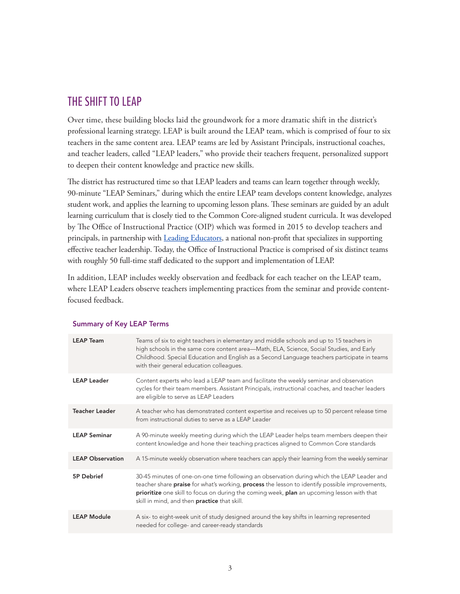# THE SHIFT TO LEAP

Over time, these building blocks laid the groundwork for a more dramatic shift in the district's professional learning strategy. LEAP is built around the LEAP team, which is comprised of four to six teachers in the same content area. LEAP teams are led by Assistant Principals, instructional coaches, and teacher leaders, called "LEAP leaders," who provide their teachers frequent, personalized support to deepen their content knowledge and practice new skills.

The district has restructured time so that LEAP leaders and teams can learn together through weekly, 90-minute "LEAP Seminars," during which the entire LEAP team develops content knowledge, analyzes student work, and applies the learning to upcoming lesson plans. These seminars are guided by an adult learning curriculum that is closely tied to the Common Core-aligned student curricula. It was developed by The Office of Instructional Practice (OIP) which was formed in 2015 to develop teachers and principals, in partnership with [Leading Educators](http://www.leadingeducators.org/), a national non-profit that specializes in supporting effective teacher leadership. Today, the Office of Instructional Practice is comprised of six distinct teams with roughly 50 full-time staff dedicated to the support and implementation of LEAP.

In addition, LEAP includes weekly observation and feedback for each teacher on the LEAP team, where LEAP Leaders observe teachers implementing practices from the seminar and provide contentfocused feedback.

| <b>LEAP Team</b>        | Teams of six to eight teachers in elementary and middle schools and up to 15 teachers in<br>high schools in the same core content area—Math, ELA, Science, Social Studies, and Early<br>Childhood. Special Education and English as a Second Language teachers participate in teams<br>with their general education colleagues.                   |
|-------------------------|---------------------------------------------------------------------------------------------------------------------------------------------------------------------------------------------------------------------------------------------------------------------------------------------------------------------------------------------------|
| <b>LEAP Leader</b>      | Content experts who lead a LEAP team and facilitate the weekly seminar and observation<br>cycles for their team members. Assistant Principals, instructional coaches, and teacher leaders<br>are eligible to serve as LEAP Leaders                                                                                                                |
| <b>Teacher Leader</b>   | A teacher who has demonstrated content expertise and receives up to 50 percent release time<br>from instructional duties to serve as a LEAP Leader                                                                                                                                                                                                |
| <b>LEAP Seminar</b>     | A 90-minute weekly meeting during which the LEAP Leader helps team members deepen their<br>content knowledge and hone their teaching practices aligned to Common Core standards                                                                                                                                                                   |
| <b>LEAP Observation</b> | A 15-minute weekly observation where teachers can apply their learning from the weekly seminar                                                                                                                                                                                                                                                    |
| 5P Debrief              | 30-45 minutes of one-on-one time following an observation during which the LEAP Leader and<br>teacher share praise for what's working, process the lesson to identify possible improvements,<br>prioritize one skill to focus on during the coming week, plan an upcoming lesson with that<br>skill in mind, and then <b>practice</b> that skill. |
| <b>LEAP Module</b>      | A six- to eight-week unit of study designed around the key shifts in learning represented<br>needed for college- and career-ready standards                                                                                                                                                                                                       |

#### Summary of Key LEAP Terms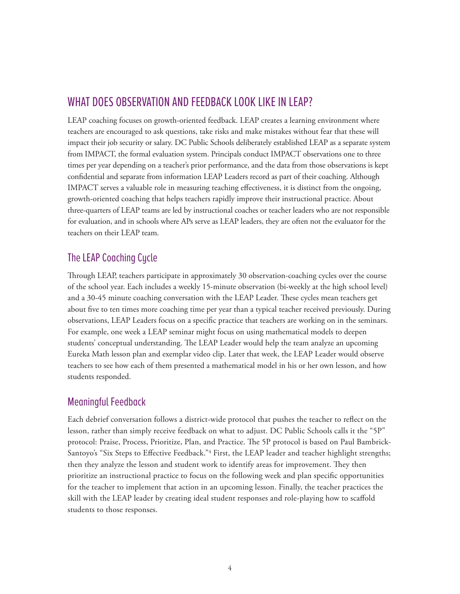# WHAT DOES OBSERVATION AND FEEDBACK LOOK LIKE IN LEAP?

LEAP coaching focuses on growth-oriented feedback. LEAP creates a learning environment where teachers are encouraged to ask questions, take risks and make mistakes without fear that these will impact their job security or salary. DC Public Schools deliberately established LEAP as a separate system from IMPACT, the formal evaluation system. Principals conduct IMPACT observations one to three times per year depending on a teacher's prior performance, and the data from those observations is kept confidential and separate from information LEAP Leaders record as part of their coaching. Although IMPACT serves a valuable role in measuring teaching effectiveness, it is distinct from the ongoing, growth-oriented coaching that helps teachers rapidly improve their instructional practice. About three-quarters of LEAP teams are led by instructional coaches or teacher leaders who are not responsible for evaluation, and in schools where APs serve as LEAP leaders, they are often not the evaluator for the teachers on their LEAP team.

## The LEAP Coaching Cycle

Through LEAP, teachers participate in approximately 30 observation-coaching cycles over the course of the school year. Each includes a weekly 15-minute observation (bi-weekly at the high school level) and a 30-45 minute coaching conversation with the LEAP Leader. These cycles mean teachers get about five to ten times more coaching time per year than a typical teacher received previously. During observations, LEAP Leaders focus on a specific practice that teachers are working on in the seminars. For example, one week a LEAP seminar might focus on using mathematical models to deepen students' conceptual understanding. The LEAP Leader would help the team analyze an upcoming Eureka Math lesson plan and exemplar video clip. Later that week, the LEAP Leader would observe teachers to see how each of them presented a mathematical model in his or her own lesson, and how students responded.

## Meaningful Feedback

Each debrief conversation follows a district-wide protocol that pushes the teacher to reflect on the lesson, rather than simply receive feedback on what to adjust. DC Public Schools calls it the "5P" protocol: Praise, Process, Prioritize, Plan, and Practice. The 5P protocol is based on Paul Bambrick-Santoyo's "Six Steps to Effective Feedback."<sup>4</sup> First, the LEAP leader and teacher highlight strengths; then they analyze the lesson and student work to identify areas for improvement. They then prioritize an instructional practice to focus on the following week and plan specific opportunities for the teacher to implement that action in an upcoming lesson. Finally, the teacher practices the skill with the LEAP leader by creating ideal student responses and role-playing how to scaffold students to those responses.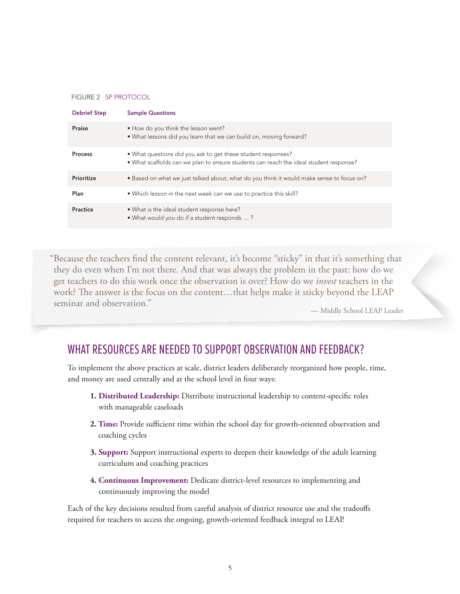#### FIGURE 2 5P PROTOCOL

| <b>Debrief Step</b> | <b>Sample Questions</b>                                                                                                                               |
|---------------------|-------------------------------------------------------------------------------------------------------------------------------------------------------|
| Praise              | • How do you think the lesson went?<br>. What lessons did you learn that we can build on, moving forward?                                             |
| Process             | • What questions did you ask to get these student responses?<br>. What scaffolds can we plan to ensure students can reach the ideal student response? |
| Prioritize          | • Based on what we just talked about, what do you think it would make sense to focus on?                                                              |
| Plan                | • Which lesson in the next week can we use to practice this skill?                                                                                    |
| Practice            | . What is the ideal student response here?<br>• What would you do if a student responds ?                                                             |

"Because the teachers find the content relevant, it's become "sticky" in that it's something that they do even when I'm not there. And that was always the problem in the past: how do we get teachers to do this work once the observation is over? How do we *invest* teachers in the work? The answer is the focus on the content…that helps make it sticky beyond the LEAP seminar and observation."

— Middle School LEAP Leader

# WHAT RESOURCES ARE NEEDED TO SUPPORT OBSERVATION AND FEEDBACK?

To implement the above practices at scale, district leaders deliberately reorganized how people, time, and money are used centrally and at the school level in four ways:

- **1. Distributed Leadership:** Distribute instructional leadership to content-specific roles with manageable caseloads
- **2. Time:** Provide sufficient time within the school day for growth-oriented observation and coaching cycles
- **3. Support:** Support instructional experts to deepen their knowledge of the adult learning curriculum and coaching practices
- **4. Continuous Improvement:** Dedicate district-level resources to implementing and continuously improving the model

Each of the key decisions resulted from careful analysis of district resource use and the tradeoffs required for teachers to access the ongoing, growth-oriented feedback integral to LEAP.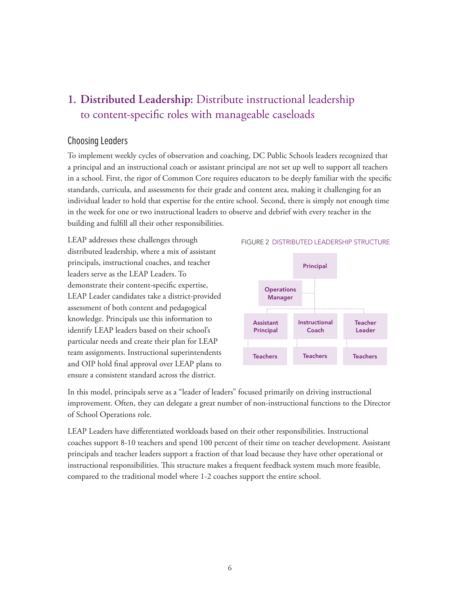# **1. Distributed Leadership:** Distribute instructional leadership to content-specific roles with manageable caseloads

## Choosing Leaders

To implement weekly cycles of observation and coaching, DC Public Schools leaders recognized that a principal and an instructional coach or assistant principal are not set up well to support all teachers in a school. First, the rigor of Common Core requires educators to be deeply familiar with the specific standards, curricula, and assessments for their grade and content area, making it challenging for an individual leader to hold that expertise for the entire school. Second, there is simply not enough time in the week for one or two instructional leaders to observe and debrief with every teacher in the building and fulfill all their other responsibilities.

LEAP addresses these challenges through distributed leadership, where a mix of assistant principals, instructional coaches, and teacher leaders serve as the LEAP Leaders. To demonstrate their content-specific expertise, LEAP Leader candidates take a district-provided assessment of both content and pedagogical knowledge. Principals use this information to identify LEAP leaders based on their school's particular needs and create their plan for LEAP team assignments. Instructional superintendents and OIP hold final approval over LEAP plans to ensure a consistent standard across the district.



In this model, principals serve as a "leader of leaders" focused primarily on driving instructional improvement. Often, they can delegate a great number of non-instructional functions to the Director of School Operations role.

LEAP Leaders have differentiated workloads based on their other responsibilities. Instructional coaches support 8-10 teachers and spend 100 percent of their time on teacher development. Assistant principals and teacher leaders support a fraction of that load because they have other operational or instructional responsibilities. This structure makes a frequent feedback system much more feasible, compared to the traditional model where 1-2 coaches support the entire school.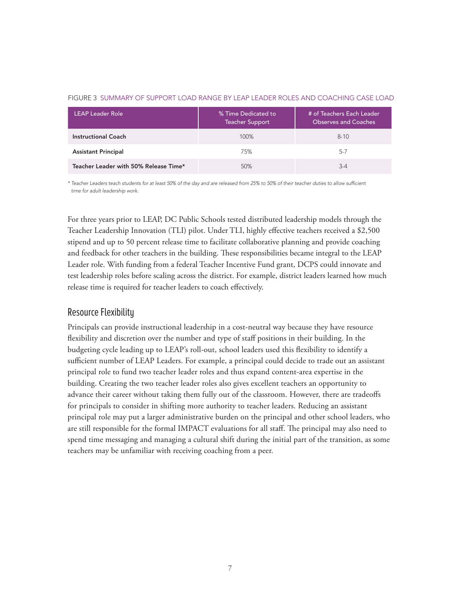| <b>LEAP Leader Role</b>               | % Time Dedicated to<br><b>Teacher Support</b> | # of Teachers Each Leader<br><b>Observes and Coaches</b> |
|---------------------------------------|-----------------------------------------------|----------------------------------------------------------|
| <b>Instructional Coach</b>            | 100%                                          | $8 - 10$                                                 |
| <b>Assistant Principal</b>            | 75%                                           | $5-7$                                                    |
| Teacher Leader with 50% Release Time* | 50%                                           | $3 - 4$                                                  |

#### FIGURE 3 SUMMARY OF SUPPORT LOAD RANGE BY LEAP LEADER ROLES AND COACHING CASE LOAD

*\* Teacher Leaders teach students for at least 50% of the day and are released from 25% to 50% of their teacher duties to allow sufficient time for adult leadership work.*

For three years prior to LEAP, DC Public Schools tested distributed leadership models through the Teacher Leadership Innovation (TLI) pilot. Under TLI, highly effective teachers received a \$2,500 stipend and up to 50 percent release time to facilitate collaborative planning and provide coaching and feedback for other teachers in the building. These responsibilities became integral to the LEAP Leader role. With funding from a federal Teacher Incentive Fund grant, DCPS could innovate and test leadership roles before scaling across the district. For example, district leaders learned how much release time is required for teacher leaders to coach effectively.

## Resource Flexibility

Principals can provide instructional leadership in a cost-neutral way because they have resource flexibility and discretion over the number and type of staff positions in their building. In the budgeting cycle leading up to LEAP's roll-out, school leaders used this flexibility to identify a sufficient number of LEAP Leaders. For example, a principal could decide to trade out an assistant principal role to fund two teacher leader roles and thus expand content-area expertise in the building. Creating the two teacher leader roles also gives excellent teachers an opportunity to advance their career without taking them fully out of the classroom. However, there are tradeoffs for principals to consider in shifting more authority to teacher leaders. Reducing an assistant principal role may put a larger administrative burden on the principal and other school leaders, who are still responsible for the formal IMPACT evaluations for all staff. The principal may also need to spend time messaging and managing a cultural shift during the initial part of the transition, as some teachers may be unfamiliar with receiving coaching from a peer.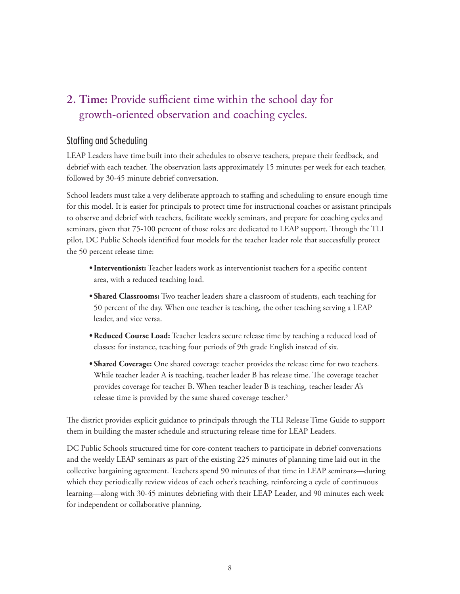# **2. Time:** Provide sufficient time within the school day for growth-oriented observation and coaching cycles.

## Staffing and Scheduling

LEAP Leaders have time built into their schedules to observe teachers, prepare their feedback, and debrief with each teacher. The observation lasts approximately 15 minutes per week for each teacher, followed by 30-45 minute debrief conversation.

School leaders must take a very deliberate approach to staffing and scheduling to ensure enough time for this model. It is easier for principals to protect time for instructional coaches or assistant principals to observe and debrief with teachers, facilitate weekly seminars, and prepare for coaching cycles and seminars, given that 75-100 percent of those roles are dedicated to LEAP support. Through the TLI pilot, DC Public Schools identified four models for the teacher leader role that successfully protect the 50 percent release time:

- **• Interventionist:** Teacher leaders work as interventionist teachers for a specific content area, with a reduced teaching load.
- **• Shared Classrooms:** Two teacher leaders share a classroom of students, each teaching for 50 percent of the day. When one teacher is teaching, the other teaching serving a LEAP leader, and vice versa.
- **• Reduced Course Load:** Teacher leaders secure release time by teaching a reduced load of classes: for instance, teaching four periods of 9th grade English instead of six.
- **• Shared Coverage:** One shared coverage teacher provides the release time for two teachers. While teacher leader A is teaching, teacher leader B has release time. The coverage teacher provides coverage for teacher B. When teacher leader B is teaching, teacher leader A's release time is provided by the same shared coverage teacher.<sup>5</sup>

The district provides explicit guidance to principals through the TLI Release Time Guide to support them in building the master schedule and structuring release time for LEAP Leaders.

DC Public Schools structured time for core-content teachers to participate in debrief conversations and the weekly LEAP seminars as part of the existing 225 minutes of planning time laid out in the collective bargaining agreement. Teachers spend 90 minutes of that time in LEAP seminars—during which they periodically review videos of each other's teaching, reinforcing a cycle of continuous learning—along with 30-45 minutes debriefing with their LEAP Leader, and 90 minutes each week for independent or collaborative planning.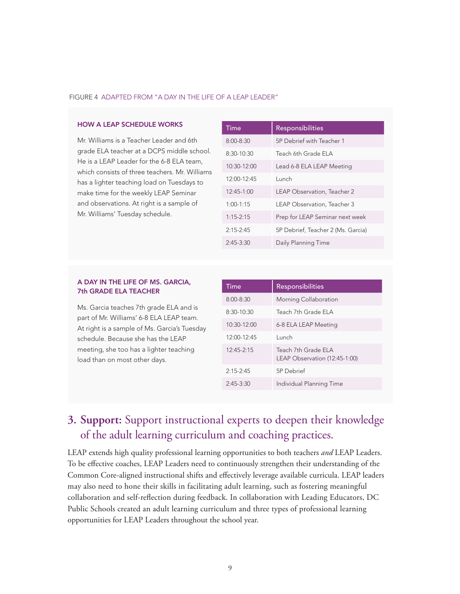#### FIGURE 4 ADAPTED FROM "A DAY IN THE LIFE OF A LEAP LEADER"

#### HOW A LEAP SCHEDULE WORKS

Mr. Williams is a Teacher Leader and 6th grade ELA teacher at a DCPS middle school. He is a LEAP Leader for the 6-8 ELA team, which consists of three teachers. Mr. Williams has a lighter teaching load on Tuesdays to make time for the weekly LEAP Seminar and observations. At right is a sample of Mr. Williams' Tuesday schedule.

| Time            | Responsibilities                   |
|-----------------|------------------------------------|
| $8:00 - 8:30$   | 5P Debrief with Teacher 1          |
| $8:30-10:30$    | Teach 6th Grade ELA                |
| $10:30-12:00$   | Lead 6-8 ELA LEAP Meeting          |
| $12.00 - 12.45$ | Lunch                              |
| $12.45 - 1.00$  | LEAP Observation, Teacher 2        |
| $1.00 - 1.15$   | LEAP Observation, Teacher 3        |
| $1.15 - 2.15$   | Prep for LEAP Seminar next week    |
| $2.15 - 2.45$   | 5P Debrief, Teacher 2 (Ms. Garcia) |
| $2:45-3:30$     | Daily Planning Time                |

#### A DAY IN THE LIFE OF MS. GARCIA, 7th GRADE ELA TEACHER

Ms. Garcia teaches 7th grade ELA and is part of Mr. Williams' 6-8 ELA LEAP team. At right is a sample of Ms. Garcia's Tuesday schedule. Because she has the LEAP meeting, she too has a lighter teaching load than on most other days.

| Time            | <b>Responsibilities</b>                              |
|-----------------|------------------------------------------------------|
| $8:00 - 8:30$   | Morning Collaboration                                |
| $8:30-10:30$    | Teach 7th Grade FLA                                  |
| $10:30-12:00$   | 6-8 ELA LEAP Meeting                                 |
| $12.00 - 12.45$ | Lunch                                                |
| $12.45 - 2.15$  | Teach 7th Grade FLA<br>LEAP Observation (12:45-1:00) |
| $2:15 - 2:45$   | 5P Debrief                                           |
| $2:45-3:30$     | Individual Planning Time                             |

# **3. Support:** Support instructional experts to deepen their knowledge of the adult learning curriculum and coaching practices.

LEAP extends high quality professional learning opportunities to both teachers *and* LEAP Leaders. To be effective coaches, LEAP Leaders need to continuously strengthen their understanding of the Common Core-aligned instructional shifts and effectively leverage available curricula. LEAP leaders may also need to hone their skills in facilitating adult learning, such as fostering meaningful collaboration and self-reflection during feedback. In collaboration with Leading Educators, DC Public Schools created an adult learning curriculum and three types of professional learning opportunities for LEAP Leaders throughout the school year.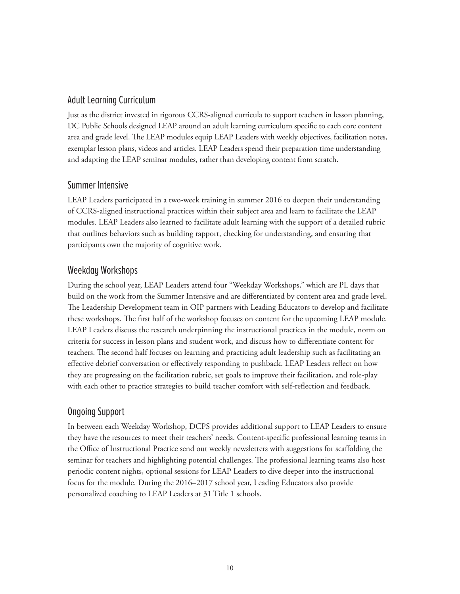## Adult Learning Curriculum

Just as the district invested in rigorous CCRS-aligned curricula to support teachers in lesson planning, DC Public Schools designed LEAP around an adult learning curriculum specific to each core content area and grade level. The LEAP modules equip LEAP Leaders with weekly objectives, facilitation notes, exemplar lesson plans, videos and articles. LEAP Leaders spend their preparation time understanding and adapting the LEAP seminar modules, rather than developing content from scratch.

## Summer Intensive

LEAP Leaders participated in a two-week training in summer 2016 to deepen their understanding of CCRS-aligned instructional practices within their subject area and learn to facilitate the LEAP modules. LEAP Leaders also learned to facilitate adult learning with the support of a detailed rubric that outlines behaviors such as building rapport, checking for understanding, and ensuring that participants own the majority of cognitive work.

## Weekday Workshops

During the school year, LEAP Leaders attend four "Weekday Workshops," which are PL days that build on the work from the Summer Intensive and are differentiated by content area and grade level. The Leadership Development team in OIP partners with Leading Educators to develop and facilitate these workshops. The first half of the workshop focuses on content for the upcoming LEAP module. LEAP Leaders discuss the research underpinning the instructional practices in the module, norm on criteria for success in lesson plans and student work, and discuss how to differentiate content for teachers. The second half focuses on learning and practicing adult leadership such as facilitating an effective debrief conversation or effectively responding to pushback. LEAP Leaders reflect on how they are progressing on the facilitation rubric, set goals to improve their facilitation, and role-play with each other to practice strategies to build teacher comfort with self-reflection and feedback.

## Ongoing Support

In between each Weekday Workshop, DCPS provides additional support to LEAP Leaders to ensure they have the resources to meet their teachers' needs. Content-specific professional learning teams in the Office of Instructional Practice send out weekly newsletters with suggestions for scaffolding the seminar for teachers and highlighting potential challenges. The professional learning teams also host periodic content nights, optional sessions for LEAP Leaders to dive deeper into the instructional focus for the module. During the 2016–2017 school year, Leading Educators also provide personalized coaching to LEAP Leaders at 31 Title 1 schools.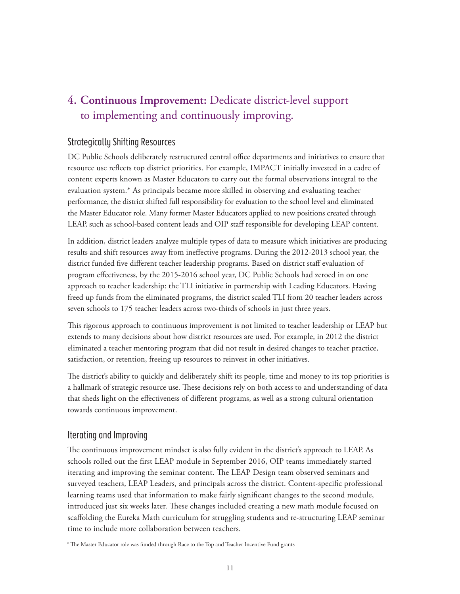# **4. Continuous Improvement:** Dedicate district-level support to implementing and continuously improving.

## Strategically Shifting Resources

DC Public Schools deliberately restructured central office departments and initiatives to ensure that resource use reflects top district priorities. For example, IMPACT initially invested in a cadre of content experts known as Master Educators to carry out the formal observations integral to the evaluation system.\* As principals became more skilled in observing and evaluating teacher performance, the district shifted full responsibility for evaluation to the school level and eliminated the Master Educator role. Many former Master Educators applied to new positions created through LEAP, such as school-based content leads and OIP staff responsible for developing LEAP content.

In addition, district leaders analyze multiple types of data to measure which initiatives are producing results and shift resources away from ineffective programs. During the 2012-2013 school year, the district funded five different teacher leadership programs. Based on district staff evaluation of program effectiveness, by the 2015-2016 school year, DC Public Schools had zeroed in on one approach to teacher leadership: the TLI initiative in partnership with Leading Educators. Having freed up funds from the eliminated programs, the district scaled TLI from 20 teacher leaders across seven schools to 175 teacher leaders across two-thirds of schools in just three years.

This rigorous approach to continuous improvement is not limited to teacher leadership or LEAP but extends to many decisions about how district resources are used. For example, in 2012 the district eliminated a teacher mentoring program that did not result in desired changes to teacher practice, satisfaction, or retention, freeing up resources to reinvest in other initiatives.

The district's ability to quickly and deliberately shift its people, time and money to its top priorities is a hallmark of strategic resource use. These decisions rely on both access to and understanding of data that sheds light on the effectiveness of different programs, as well as a strong cultural orientation towards continuous improvement.

## Iterating and Improving

The continuous improvement mindset is also fully evident in the district's approach to LEAP. As schools rolled out the first LEAP module in September 2016, OIP teams immediately started iterating and improving the seminar content. The LEAP Design team observed seminars and surveyed teachers, LEAP Leaders, and principals across the district. Content-specific professional learning teams used that information to make fairly significant changes to the second module, introduced just six weeks later. These changes included creating a new math module focused on scaffolding the Eureka Math curriculum for struggling students and re-structuring LEAP seminar time to include more collaboration between teachers.

\* The Master Educator role was funded through Race to the Top and Teacher Incentive Fund grants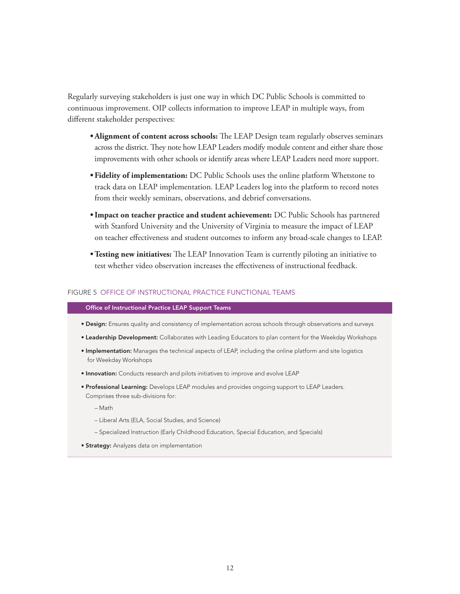Regularly surveying stakeholders is just one way in which DC Public Schools is committed to continuous improvement. OIP collects information to improve LEAP in multiple ways, from different stakeholder perspectives:

- **• Alignment of content across schools:** The LEAP Design team regularly observes seminars across the district. They note how LEAP Leaders modify module content and either share those improvements with other schools or identify areas where LEAP Leaders need more support.
- **• Fidelity of implementation:** DC Public Schools uses the online platform Whetstone to track data on LEAP implementation. LEAP Leaders log into the platform to record notes from their weekly seminars, observations, and debrief conversations.
- **• Impact on teacher practice and student achievement:** DC Public Schools has partnered with Stanford University and the University of Virginia to measure the impact of LEAP on teacher effectiveness and student outcomes to inform any broad-scale changes to LEAP.
- **• Testing new initiatives:** The LEAP Innovation Team is currently piloting an initiative to test whether video observation increases the effectiveness of instructional feedback.

#### FIGURE 5 OFFICE OF INSTRUCTIONAL PRACTICE FUNCTIONAL TEAMS

#### Office of Instructional Practice LEAP Support Teams

- Design: Ensures quality and consistency of implementation across schools through observations and surveys
- Leadership Development: Collaborates with Leading Educators to plan content for the Weekday Workshops
- Implementation: Manages the technical aspects of LEAP, including the online platform and site logistics for Weekday Workshops
- **Innovation:** Conducts research and pilots initiatives to improve and evolve LEAP
- **Professional Learning:** Develops LEAP modules and provides ongoing support to LEAP Leaders. Comprises three sub-divisions for:
	- Math
	- Liberal Arts (ELA, Social Studies, and Science)
	- Specialized Instruction (Early Childhood Education, Special Education, and Specials)
- **Strategy:** Analyzes data on implementation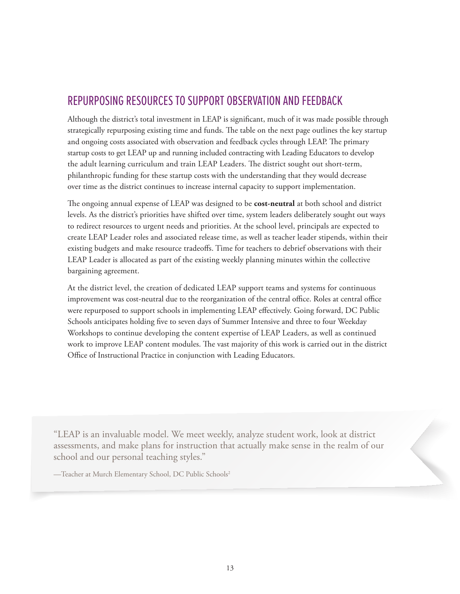# REPURPOSING RESOURCES TO SUPPORT OBSERVATION AND FEEDBACK

Although the district's total investment in LEAP is significant, much of it was made possible through strategically repurposing existing time and funds. The table on the next page outlines the key startup and ongoing costs associated with observation and feedback cycles through LEAP. The primary startup costs to get LEAP up and running included contracting with Leading Educators to develop the adult learning curriculum and train LEAP Leaders. The district sought out short-term, philanthropic funding for these startup costs with the understanding that they would decrease over time as the district continues to increase internal capacity to support implementation.

The ongoing annual expense of LEAP was designed to be **cost-neutral** at both school and district levels. As the district's priorities have shifted over time, system leaders deliberately sought out ways to redirect resources to urgent needs and priorities. At the school level, principals are expected to create LEAP Leader roles and associated release time, as well as teacher leader stipends, within their existing budgets and make resource tradeoffs. Time for teachers to debrief observations with their LEAP Leader is allocated as part of the existing weekly planning minutes within the collective bargaining agreement.

At the district level, the creation of dedicated LEAP support teams and systems for continuous improvement was cost-neutral due to the reorganization of the central office. Roles at central office were repurposed to support schools in implementing LEAP effectively. Going forward, DC Public Schools anticipates holding five to seven days of Summer Intensive and three to four Weekday Workshops to continue developing the content expertise of LEAP Leaders, as well as continued work to improve LEAP content modules. The vast majority of this work is carried out in the district Office of Instructional Practice in conjunction with Leading Educators.

"LEAP is an invaluable model. We meet weekly, analyze student work, look at district assessments, and make plans for instruction that actually make sense in the realm of our school and our personal teaching styles."

—Teacher at Murch Elementary School, DC Public Schools2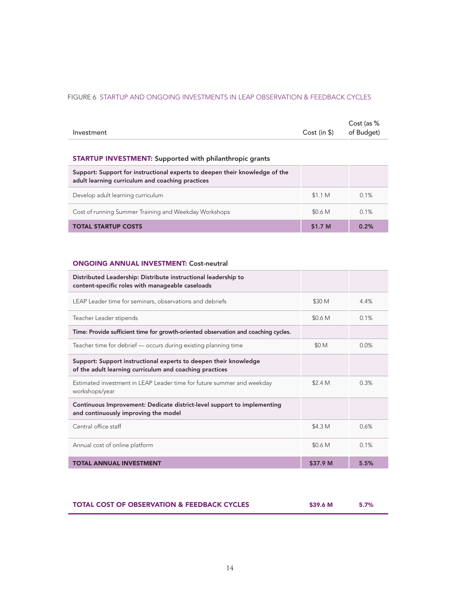## FIGURE 6 STARTUP AND ONGOING INVESTMENTS IN LEAP OBSERVATION & FEEDBACK CYCLES

|            |                         | Cost (as % |
|------------|-------------------------|------------|
| Investment | Cost (in \$) of Budget) |            |

## STARTUP INVESTMENT: Supported with philanthropic grants

| Support: Support for instructional experts to deepen their knowledge of the<br>adult learning curriculum and coaching practices |                    |      |
|---------------------------------------------------------------------------------------------------------------------------------|--------------------|------|
| Develop adult learning curriculum                                                                                               | \$11M              | 0.1% |
| Cost of running Summer Training and Weekday Workshops                                                                           | \$0.6 M            | 0.1% |
| <b>TOTAL STARTUP COSTS</b>                                                                                                      | \$1.7 <sub>M</sub> | 0.2% |

#### ONGOING ANNUAL INVESTMENT: Cost-neutral

| Distributed Leadership: Distribute instructional leadership to<br>content-specific roles with manageable caseloads          |                    |      |
|-----------------------------------------------------------------------------------------------------------------------------|--------------------|------|
| LEAP Leader time for seminars, observations and debriefs                                                                    | \$30 M             | 4.4% |
| Teacher Leader stipends                                                                                                     | \$0.6 M            | 0.1% |
| Time: Provide sufficient time for growth-oriented observation and coaching cycles.                                          |                    |      |
| Teacher time for debrief – occurs during existing planning time                                                             | \$0 M              | 0.0% |
| Support: Support instructional experts to deepen their knowledge<br>of the adult learning curriculum and coaching practices |                    |      |
| Estimated investment in LEAP Leader time for future summer and weekday<br>workshops/year                                    | \$2.4 <sub>M</sub> | 0.3% |
| Continuous Improvement: Dedicate district-level support to implementing<br>and continuously improving the model             |                    |      |
| Central office staff                                                                                                        | \$4.3 M            | 0.6% |
| Annual cost of online platform                                                                                              | \$0.6 M            | 0.1% |
| TOTAL ANNUAL INVESTMENT                                                                                                     | \$37.9 M           | 5.5% |

| <b>TOTAL COST OF OBSERVATION &amp; FEEDBACK CYCLES</b> | \$39.6 M |  |
|--------------------------------------------------------|----------|--|
|                                                        |          |  |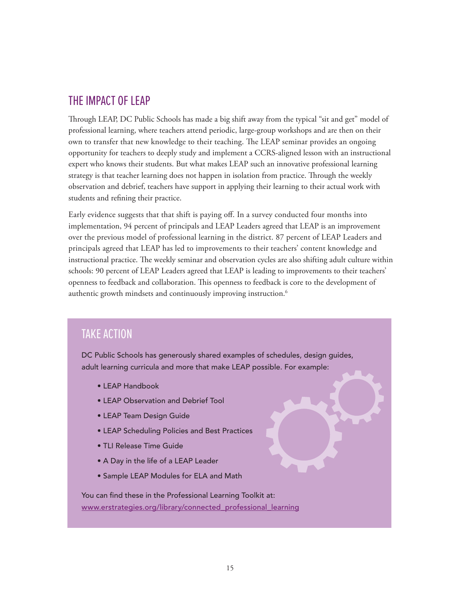# THE IMPACT OF LEAP

Through LEAP, DC Public Schools has made a big shift away from the typical "sit and get" model of professional learning, where teachers attend periodic, large-group workshops and are then on their own to transfer that new knowledge to their teaching. The LEAP seminar provides an ongoing opportunity for teachers to deeply study and implement a CCRS-aligned lesson with an instructional expert who knows their students. But what makes LEAP such an innovative professional learning strategy is that teacher learning does not happen in isolation from practice. Through the weekly observation and debrief, teachers have support in applying their learning to their actual work with students and refining their practice.

Early evidence suggests that that shift is paying off. In a survey conducted four months into implementation, 94 percent of principals and LEAP Leaders agreed that LEAP is an improvement over the previous model of professional learning in the district. 87 percent of LEAP Leaders and principals agreed that LEAP has led to improvements to their teachers' content knowledge and instructional practice. The weekly seminar and observation cycles are also shifting adult culture within schools: 90 percent of LEAP Leaders agreed that LEAP is leading to improvements to their teachers' openness to feedback and collaboration. This openness to feedback is core to the development of authentic growth mindsets and continuously improving instruction.6

# TAKE ACTION

DC Public Schools has generously shared examples of schedules, design guides, adult learning curricula and more that make LEAP possible. For example:

- L[EAP Handbook](https://dcps.dc.gov/sites/default/files/dc/sites/dcps/page_content/attachments/LEAP Handbook 2016-2017.pdf)
- [LEAP Observation and Debrief Tool](https://drive.google.com/open?id=0B4PLxRN2dlbAUWIxTzJ6VlI0WFk)
- [LEAP Team Design Guide](https://drive.google.com/open?id=0B4PLxRN2dlbAWDk4Ymd5dW5ZZWc)
- [LEAP Scheduling Policies and Best Practices](https://drive.google.com/open?id=0B4PLxRN2dlbAMjhkQk1pY3ZXRTQ)
- [TLI Release Time Guide](https://drive.google.com/open?id=0BzkCfF-mShPfNENYYThkd2FscVk)
- [A Day in the life of a LEAP Leader](https://drive.google.com/open?id=0B3PVoeidO-jJUnZ4TzRSY01Ib3c)
- [Sample LEAP Modules for ELA and Math](http:// Sample LEAP Modules for ELA and Math)

You can find these in the Professional Learning Toolkit at: www.erstrategies.org/library/connected\_professional\_learning